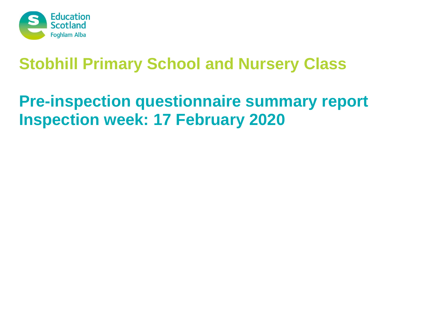

# **Pre-inspection questionnaire summary report Inspection week: 17 February 2020**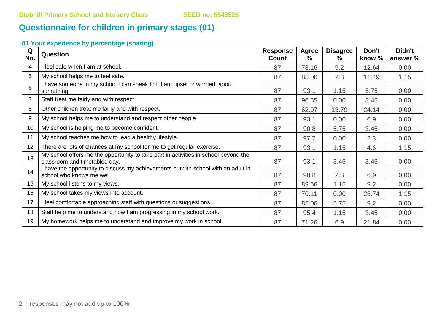# **Questionnaire for children in primary stages (01)**

| Q<br>No. | Question                                                                                                             | <b>Response</b><br>Count | <b>Agree</b><br>% | <b>Disagree</b><br>% | Don't<br>know % | Didn't<br>answer % |
|----------|----------------------------------------------------------------------------------------------------------------------|--------------------------|-------------------|----------------------|-----------------|--------------------|
| 4        | I feel safe when I am at school.                                                                                     | 87                       | 78.16             | 9.2                  | 12.64           | 0.00               |
| 5        | My school helps me to feel safe.                                                                                     | 87                       | 85.06             | 2.3                  | 11.49           | 1.15               |
| 6        | I have someone in my school I can speak to if I am upset or worried about<br>something.                              | 87                       | 93.1              | 1.15                 | 5.75            | 0.00               |
| 7        | Staff treat me fairly and with respect.                                                                              | 87                       | 96.55             | 0.00                 | 3.45            | 0.00               |
| 8        | Other children treat me fairly and with respect.                                                                     | 87                       | 62.07             | 13.79                | 24.14           | 0.00               |
| 9        | My school helps me to understand and respect other people.                                                           | 87                       | 93.1              | 0.00                 | 6.9             | 0.00               |
| 10       | My school is helping me to become confident.                                                                         | 87                       | 90.8              | 5.75                 | 3.45            | 0.00               |
| 11       | My school teaches me how to lead a healthy lifestyle.                                                                | 87                       | 97.7              | 0.00                 | 2.3             | 0.00               |
| 12       | There are lots of chances at my school for me to get regular exercise.                                               | 87                       | 93.1              | 1.15                 | 4.6             | 1.15               |
| 13       | My school offers me the opportunity to take part in activities in school beyond the<br>classroom and timetabled day. | 87                       | 93.1              | 3.45                 | 3.45            | 0.00               |
| 14       | I have the opportunity to discuss my achievements outwith school with an adult in<br>school who knows me well.       | 87                       | 90.8              | 2.3                  | 6.9             | 0.00               |
| 15       | My school listens to my views.                                                                                       | 87                       | 89.66             | 1.15                 | 9.2             | 0.00               |
| 16       | My school takes my views into account.                                                                               | 87                       | 70.11             | 0.00                 | 28.74           | 1.15               |
| 17       | I feel comfortable approaching staff with questions or suggestions.                                                  | 87                       | 85.06             | 5.75                 | 9.2             | 0.00               |
| 18       | Staff help me to understand how I am progressing in my school work.                                                  | 87                       | 95.4              | 1.15                 | 3.45            | 0.00               |
| 19       | My homework helps me to understand and improve my work in school.                                                    | 87                       | 71.26             | 6.9                  | 21.84           | 0.00               |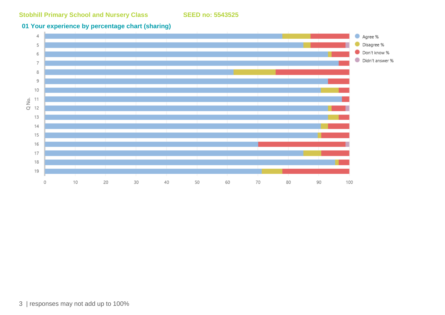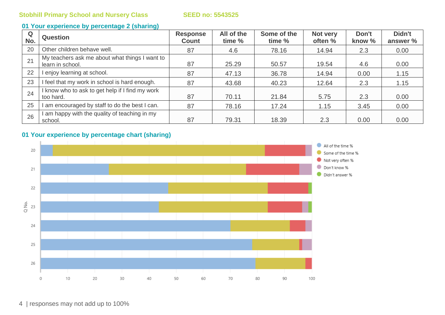#### **01 Your experience by percentage 2 (sharing)**

| Q<br>No. | <b>Question</b>                                                    | <b>Response</b><br><b>Count</b> | All of the<br>time % | Some of the<br>time % | Not very<br>often % | Don't<br>know % | Didn't<br>answer % |
|----------|--------------------------------------------------------------------|---------------------------------|----------------------|-----------------------|---------------------|-----------------|--------------------|
| 20       | Other children behave well.                                        | 87                              | 4.6                  | 78.16                 | 14.94               | 2.3             | 0.00               |
| 21       | My teachers ask me about what things I want to<br>learn in school. | 87                              | 25.29                | 50.57                 | 19.54               | 4.6             | 0.00               |
| 22       | enjoy learning at school.                                          | 87                              | 47.13                | 36.78                 | 14.94               | 0.00            | 1.15               |
| 23       | I feel that my work in school is hard enough.                      | 87                              | 43.68                | 40.23                 | 12.64               | 2.3             | 1.15               |
| 24       | I know who to ask to get help if I find my work<br>too hard.       | 87                              | 70.11                | 21.84                 | 5.75                | 2.3             | 0.00               |
| 25       | am encouraged by staff to do the best I can.                       | 87                              | 78.16                | 17.24                 | 1.15                | 3.45            | 0.00               |
| 26       | am happy with the quality of teaching in my<br>school.             | 87                              | 79.31                | 18.39                 | 2.3                 | 0.00            | 0.00               |

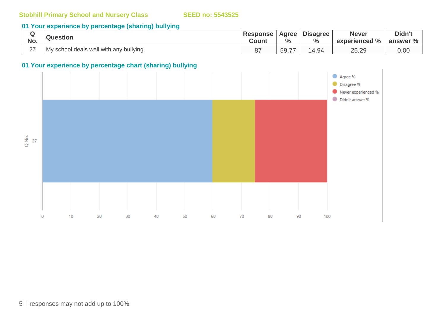## **01 Your experience by percentage (sharing) bullying**

| No.    | <b>Question</b>                           | <b>Response</b><br>Count | Agree  <br>$\frac{0}{0}$               | <b>Disagree</b><br>$\frac{0}{0}$ | <b>Never</b><br>experienced % | Didn't<br>answer % |
|--------|-------------------------------------------|--------------------------|----------------------------------------|----------------------------------|-------------------------------|--------------------|
| $\sim$ | I My school deals well with any bullying. | $\circ$                  | $\sim$ $\sim$<br>$\rightarrow$<br>59., | $+.94$                           | 25.29                         | 0.00               |

## **01 Your experience by percentage chart (sharing) bullying**

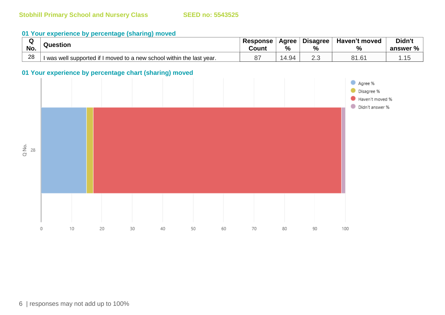#### **01 Your experience by percentage (sharing) moved**

| No. | Question                                                              | Response<br>Count | Agree<br>$\%$ | <b>Disagree</b><br>$\%$ | Haven't moved<br>$\mathbf{0}$ | Didn't<br>answer % |
|-----|-----------------------------------------------------------------------|-------------------|---------------|-------------------------|-------------------------------|--------------------|
| 28  | I was well supported if I moved to a new school within the last year. |                   | $+.94$<br>4   | ے . ب                   | 31.61                         |                    |

### **01 Your experience by percentage chart (sharing) moved**

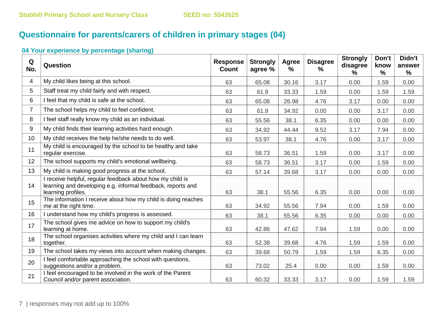# **Questionnaire for parents/carers of children in primary stages (04)**

| Q<br>No.       | Question                                                                                                                                       | <b>Response</b><br><b>Count</b> | <b>Strongly</b><br>agree % | <b>Agree</b><br>$\%$ | <b>Disagree</b><br>$\%$ | <b>Strongly</b><br>disagree<br>$\%$ | Don't<br>know<br>$\%$ | Didn't<br>answer<br>$\frac{9}{6}$ |
|----------------|------------------------------------------------------------------------------------------------------------------------------------------------|---------------------------------|----------------------------|----------------------|-------------------------|-------------------------------------|-----------------------|-----------------------------------|
| $\overline{4}$ | My child likes being at this school.                                                                                                           | 63                              | 65.08                      | 30.16                | 3.17                    | 0.00                                | 1.59                  | 0.00                              |
| 5              | Staff treat my child fairly and with respect.                                                                                                  | 63                              | 61.9                       | 33.33                | 1.59                    | 0.00                                | 1.59                  | 1.59                              |
| 6              | I feel that my child is safe at the school.                                                                                                    | 63                              | 65.08                      | 26.98                | 4.76                    | 3.17                                | 0.00                  | 0.00                              |
| $\overline{7}$ | The school helps my child to feel confident.                                                                                                   | 63                              | 61.9                       | 34.92                | 0.00                    | 0.00                                | 3.17                  | 0.00                              |
| 8              | I feel staff really know my child as an individual.                                                                                            | 63                              | 55.56                      | 38.1                 | 6.35                    | 0.00                                | 0.00                  | 0.00                              |
| 9              | My child finds their learning activities hard enough.                                                                                          | 63                              | 34.92                      | 44.44                | 9.52                    | 3.17                                | 7.94                  | 0.00                              |
| 10             | My child receives the help he/she needs to do well.                                                                                            | 63                              | 53.97                      | 38.1                 | 4.76                    | 0.00                                | 3.17                  | 0.00                              |
| 11             | My child is encouraged by the school to be healthy and take<br>regular exercise.                                                               | 63                              | 58.73                      | 36.51                | 1.59                    | 0.00                                | 3.17                  | 0.00                              |
| 12             | The school supports my child's emotional wellbeing.                                                                                            | 63                              | 58.73                      | 36.51                | 3.17                    | 0.00                                | 1.59                  | 0.00                              |
| 13             | My child is making good progress at the school.                                                                                                | 63                              | 57.14                      | 39.68                | 3.17                    | 0.00                                | 0.00                  | 0.00                              |
| 14             | I receive helpful, regular feedback about how my child is<br>learning and developing e.g. informal feedback, reports and<br>learning profiles. | 63                              | 38.1                       | 55.56                | 6.35                    | 0.00                                | 0.00                  | 0.00                              |
| 15             | The information I receive about how my child is doing reaches<br>me at the right time.                                                         | 63                              | 34.92                      | 55.56                | 7.94                    | 0.00                                | 1.59                  | 0.00                              |
| 16             | I understand how my child's progress is assessed.                                                                                              | 63                              | 38.1                       | 55.56                | 6.35                    | 0.00                                | 0.00                  | 0.00                              |
| 17             | The school gives me advice on how to support my child's<br>learning at home.                                                                   | 63                              | 42.86                      | 47.62                | 7.94                    | 1.59                                | 0.00                  | 0.00                              |
| 18             | The school organises activities where my child and I can learn<br>together.                                                                    | 63                              | 52.38                      | 39.68                | 4.76                    | 1.59                                | 1.59                  | 0.00                              |
| 19             | The school takes my views into account when making changes.                                                                                    | 63                              | 39.68                      | 50.79                | 1.59                    | 1.59                                | 6.35                  | 0.00                              |
| 20             | I feel comfortable approaching the school with questions,<br>suggestions and/or a problem.                                                     | 63                              | 73.02                      | 25.4                 | 0.00                    | 0.00                                | 1.59                  | 0.00                              |
| 21             | I feel encouraged to be involved in the work of the Parent<br>Council and/or parent association.                                               | 63                              | 60.32                      | 33.33                | 3.17                    | 0.00                                | 1.59                  | 1.59                              |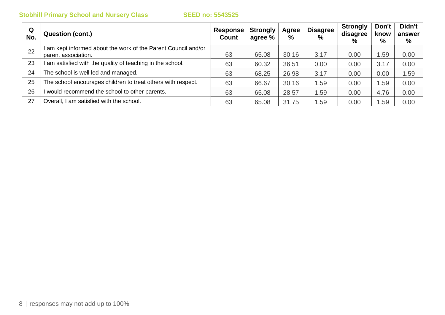| Q<br>No. | <b>Question (cont.)</b>                                                             | Response  <br>Count | <b>Strongly</b><br>agree % | Agree<br>$\%$ | <b>Disagree</b><br>$\%$ | <b>Strongly</b><br>disagree<br>% | Don't<br>know<br>% | Didn't<br>answer<br>% |
|----------|-------------------------------------------------------------------------------------|---------------------|----------------------------|---------------|-------------------------|----------------------------------|--------------------|-----------------------|
| 22       | am kept informed about the work of the Parent Council and/or<br>parent association. | 63                  | 65.08                      | 30.16         | 3.17                    | 0.00                             | .59                | 0.00                  |
| 23       | am satisfied with the quality of teaching in the school.                            | 63                  | 60.32                      | 36.51         | 0.00                    | 0.00                             | 3.17               | 0.00                  |
| 24       | The school is well led and managed.                                                 | 63                  | 68.25                      | 26.98         | 3.17                    | 0.00                             | 0.00               | 1.59                  |
| 25       | The school encourages children to treat others with respect.                        | 63                  | 66.67                      | 30.16         | .59                     | 0.00                             | 1.59               | 0.00                  |
| 26       | would recommend the school to other parents.                                        | 63                  | 65.08                      | 28.57         | 1.59                    | 0.00                             | 4.76               | 0.00                  |
| 27       | Overall, I am satisfied with the school.                                            | 63                  | 65.08                      | 31.75         | .59                     | 0.00                             | .59                | 0.00                  |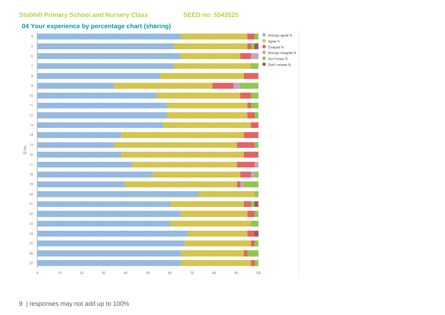**04 Your experience by percentage chart (sharing)**



9 | responses may not add up to 100%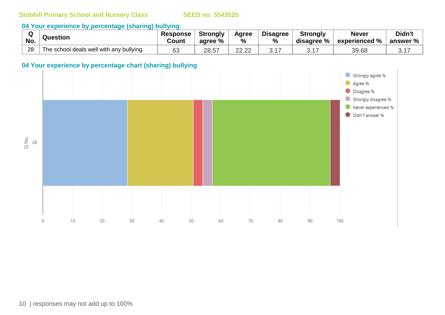## **04 Your experience by percentage (sharing) bullying**

|     | Question                                 | <b>Response</b>                 | <b>Strongly</b> | Agree          | <b>Disagree</b> | <b>Strongly</b> | <b>Never</b>  | Didn't     |
|-----|------------------------------------------|---------------------------------|-----------------|----------------|-----------------|-----------------|---------------|------------|
| No. |                                          | Count                           | agree %         | %              | $\frac{0}{0}$   | disagree %      | experienced % | answer $%$ |
| 28  | The school deals well with any bullying. | $\mathbb{C}^{\mathbb{C}}$<br>υJ | 28.57           | າາ າາ<br>__.__ | ◡. ╷            | ◡. ៲            | 39.68         |            |

## **04 Your experience by percentage chart (sharing) bullying**

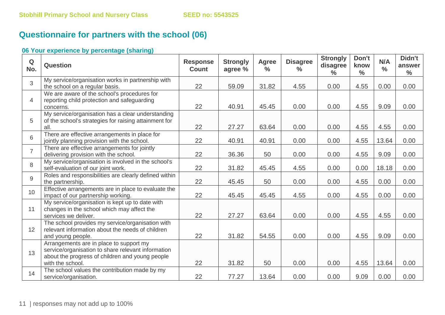## **Questionnaire for partners with the school (06)**

| Q<br>No.       | <b>Question</b>                                                                                                                                                      | <b>Response</b><br><b>Count</b> | <b>Strongly</b><br>agree % | <b>Agree</b><br>$\frac{6}{6}$ | <b>Disagree</b><br>$\frac{0}{0}$ | <b>Strongly</b><br>disagree<br>$\frac{0}{0}$ | Don't<br>know<br>$\frac{0}{0}$ | N/A<br>$\frac{6}{6}$ | Didn't<br>answer<br>$\frac{0}{0}$ |
|----------------|----------------------------------------------------------------------------------------------------------------------------------------------------------------------|---------------------------------|----------------------------|-------------------------------|----------------------------------|----------------------------------------------|--------------------------------|----------------------|-----------------------------------|
| $\overline{3}$ | My service/organisation works in partnership with<br>the school on a regular basis.                                                                                  | 22                              | 59.09                      | 31.82                         | 4.55                             | 0.00                                         | 4.55                           | 0.00                 | 0.00                              |
| $\overline{4}$ | We are aware of the school's procedures for<br>reporting child protection and safeguarding<br>concerns.                                                              | 22                              | 40.91                      | 45.45                         | 0.00                             | 0.00                                         | 4.55                           | 9.09                 | 0.00                              |
| 5              | My service/organisation has a clear understanding<br>of the school's strategies for raising attainment for<br>all.                                                   | 22                              | 27.27                      | 63.64                         | 0.00                             | 0.00                                         | 4.55                           | 4.55                 | 0.00                              |
| 6              | There are effective arrangements in place for<br>jointly planning provision with the school.                                                                         | 22                              | 40.91                      | 40.91                         | 0.00                             | 0.00                                         | 4.55                           | 13.64                | 0.00                              |
| $\overline{7}$ | There are effective arrangements for jointly<br>delivering provision with the school.                                                                                | 22                              | 36.36                      | 50                            | 0.00                             | 0.00                                         | 4.55                           | 9.09                 | 0.00                              |
| 8              | My service/organisation is involved in the school's<br>self-evaluation of our joint work.                                                                            | 22                              | 31.82                      | 45.45                         | 4.55                             | 0.00                                         | 0.00                           | 18.18                | 0.00                              |
| 9              | Roles and responsibilities are clearly defined within<br>the partnership.                                                                                            | 22                              | 45.45                      | 50                            | 0.00                             | 0.00                                         | 4.55                           | 0.00                 | 0.00                              |
| 10             | Effective arrangements are in place to evaluate the<br>impact of our partnership working.                                                                            | 22                              | 45.45                      | 45.45                         | 4.55                             | 0.00                                         | 4.55                           | 0.00                 | 0.00                              |
| 11             | My service/organisation is kept up to date with<br>changes in the school which may affect the<br>services we deliver.                                                | 22                              | 27.27                      | 63.64                         | 0.00                             | 0.00                                         | 4.55                           | 4.55                 | 0.00                              |
| 12             | The school provides my service/organisation with<br>relevant information about the needs of children<br>and young people.                                            | 22                              | 31.82                      | 54.55                         | 0.00                             | 0.00                                         | 4.55                           | 9.09                 | 0.00                              |
| 13             | Arrangements are in place to support my<br>service/organisation to share relevant information<br>about the progress of children and young people<br>with the school. | 22                              | 31.82                      | 50                            | 0.00                             | 0.00                                         | 4.55                           | 13.64                | 0.00                              |
| 14             | The school values the contribution made by my<br>service/organisation.                                                                                               | 22                              | 77.27                      | 13.64                         | 0.00                             | 0.00                                         | 9.09                           | 0.00                 | 0.00                              |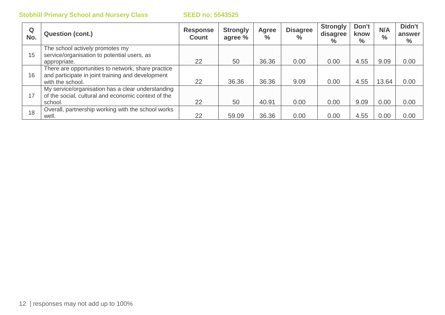| Q<br>No. | <b>Question (cont.)</b>                                                                                                     | <b>Response</b><br><b>Count</b> | <b>Strongly</b><br>agree % | <b>Agree</b><br>$\frac{0}{0}$ | <b>Disagree</b><br>$\frac{0}{0}$ | <b>Strongly</b><br>disagree<br>$\%$ | Don't<br>know<br>$\%$ | N/A<br>$\frac{6}{6}$ | Didn't<br>answer<br>$\%$ |
|----------|-----------------------------------------------------------------------------------------------------------------------------|---------------------------------|----------------------------|-------------------------------|----------------------------------|-------------------------------------|-----------------------|----------------------|--------------------------|
| 15       | The school actively promotes my<br>service/organisation to potential users, as<br>appropriate.                              | 22                              | 50                         | 36.36                         | 0.00                             | 0.00                                | 4.55                  | 9.09                 | 0.00                     |
| 16       | There are opportunities to network, share practice<br>and participate in joint training and development<br>with the school. | 22                              | 36.36                      | 36.36                         | 9.09                             | 0.00                                | 4.55                  | 13.64                | 0.00                     |
| 17       | My service/organisation has a clear understanding<br>of the social, cultural and economic context of the<br>school.         | 22                              | 50                         | 40.91                         | 0.00                             | 0.00                                | 9.09                  | 0.00                 | 0.00                     |
| 18       | Overall, partnership working with the school works<br>well.                                                                 | 22                              | 59.09                      | 36.36                         | 0.00                             | 0.00                                | 4.55                  | 0.00                 | 0.00                     |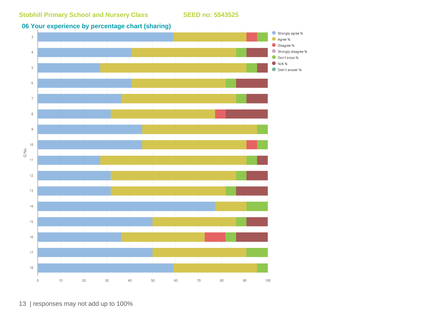## **06 Your experience by percentage chart (sharing)**



13 | responses may not add up to 100%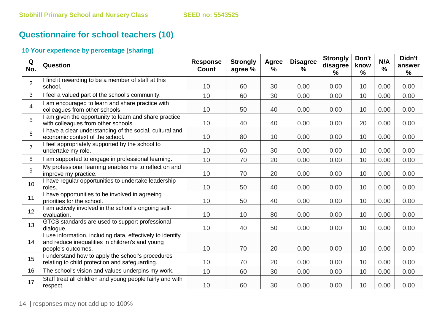# **Questionnaire for school teachers (10)**

| Q<br>No.        | Question                                                                                                                            | <b>Response</b><br>Count | <b>Strongly</b><br>agree % | Agree<br>$\frac{9}{6}$ | <b>Disagree</b><br>℅ | <b>Strongly</b><br>disagree<br>$\frac{0}{0}$ | Don't<br>know<br>% | N/A<br>$\frac{0}{0}$ | Didn't<br>answer<br>% |
|-----------------|-------------------------------------------------------------------------------------------------------------------------------------|--------------------------|----------------------------|------------------------|----------------------|----------------------------------------------|--------------------|----------------------|-----------------------|
| $\overline{2}$  | I find it rewarding to be a member of staff at this<br>school.                                                                      | 10                       | 60                         | 30                     | 0.00                 | 0.00                                         | 10                 | 0.00                 | 0.00                  |
| $\mathbf{3}$    | I feel a valued part of the school's community.                                                                                     | 10                       | 60                         | 30                     | 0.00                 | 0.00                                         | 10                 | 0.00                 | 0.00                  |
| $\overline{4}$  | am encouraged to learn and share practice with<br>colleagues from other schools.                                                    | 10                       | 50                         | 40                     | 0.00                 | 0.00                                         | 10                 | 0.00                 | 0.00                  |
| 5               | I am given the opportunity to learn and share practice<br>with colleagues from other schools.                                       | 10                       | 40                         | 40                     | 0.00                 | 0.00                                         | 20                 | 0.00                 | 0.00                  |
| 6               | I have a clear understanding of the social, cultural and<br>economic context of the school.                                         | 10                       | 80                         | 10                     | 0.00                 | 0.00                                         | 10                 | 0.00                 | 0.00                  |
| $\overline{7}$  | I feel appropriately supported by the school to<br>undertake my role.                                                               | 10                       | 60                         | 30                     | 0.00                 | 0.00                                         | 10                 | 0.00                 | 0.00                  |
| 8               | am supported to engage in professional learning.                                                                                    | 10                       | 70                         | 20                     | 0.00                 | 0.00                                         | 10                 | 0.00                 | 0.00                  |
| 9               | My professional learning enables me to reflect on and<br>improve my practice.                                                       | 10                       | 70                         | 20                     | 0.00                 | 0.00                                         | 10                 | 0.00                 | 0.00                  |
| 10 <sup>1</sup> | I have regular opportunities to undertake leadership<br>roles.                                                                      | 10                       | 50                         | 40                     | 0.00                 | 0.00                                         | 10                 | 0.00                 | 0.00                  |
| 11              | I have opportunities to be involved in agreeing<br>priorities for the school.                                                       | 10                       | 50                         | 40                     | 0.00                 | 0.00                                         | 10                 | 0.00                 | 0.00                  |
| 12              | I am actively involved in the school's ongoing self-<br>evaluation.                                                                 | 10                       | 10                         | 80                     | 0.00                 | 0.00                                         | 10                 | 0.00                 | 0.00                  |
| 13              | GTCS standards are used to support professional<br>dialogue.                                                                        | 10                       | 40                         | 50                     | 0.00                 | 0.00                                         | 10                 | 0.00                 | 0.00                  |
| 14              | I use information, including data, effectively to identify<br>and reduce inequalities in children's and young<br>people's outcomes. | 10                       | 70                         | 20                     | 0.00                 | 0.00                                         | 10                 | 0.00                 | 0.00                  |
| 15              | I understand how to apply the school's procedures<br>relating to child protection and safeguarding.                                 | 10                       | 70                         | 20                     | 0.00                 | 0.00                                         | 10                 | 0.00                 | 0.00                  |
| 16              | The school's vision and values underpins my work.                                                                                   | 10                       | 60                         | 30                     | 0.00                 | 0.00                                         | 10                 | 0.00                 | 0.00                  |
| 17              | Staff treat all children and young people fairly and with<br>respect.                                                               | 10                       | 60                         | 30                     | 0.00                 | 0.00                                         | 10                 | 0.00                 | 0.00                  |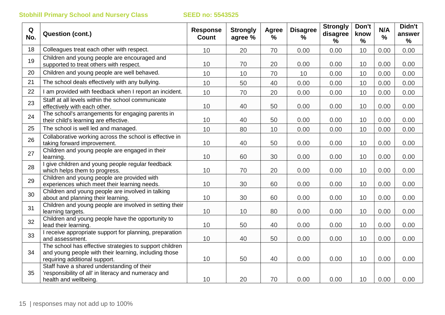| Q<br>No. | <b>Question (cont.)</b>                                                                                                                           | <b>Response</b><br><b>Count</b> | <b>Strongly</b><br>agree % | Agree<br>$\%$ | <b>Disagree</b><br>$\frac{9}{6}$ | <b>Strongly</b><br>disagree<br>$\frac{0}{0}$ | Don't<br>know<br>% | N/A<br>$\frac{0}{0}$ | Didn't<br>answer<br>$\frac{9}{6}$ |
|----------|---------------------------------------------------------------------------------------------------------------------------------------------------|---------------------------------|----------------------------|---------------|----------------------------------|----------------------------------------------|--------------------|----------------------|-----------------------------------|
| 18       | Colleagues treat each other with respect.                                                                                                         | 10                              | 20                         | 70            | 0.00                             | 0.00                                         | 10                 | 0.00                 | 0.00                              |
| 19       | Children and young people are encouraged and<br>supported to treat others with respect.                                                           | 10                              | 70                         | 20            | 0.00                             | 0.00                                         | 10                 | 0.00                 | 0.00                              |
| 20       | Children and young people are well behaved.                                                                                                       | 10                              | 10                         | 70            | 10                               | 0.00                                         | 10                 | 0.00                 | 0.00                              |
| 21       | The school deals effectively with any bullying.                                                                                                   | 10                              | 50                         | 40            | 0.00                             | 0.00                                         | 10                 | 0.00                 | 0.00                              |
| 22       | I am provided with feedback when I report an incident.                                                                                            | 10                              | 70                         | 20            | 0.00                             | 0.00                                         | 10                 | 0.00                 | 0.00                              |
| 23       | Staff at all levels within the school communicate<br>effectively with each other.                                                                 | 10                              | 40                         | 50            | 0.00                             | 0.00                                         | 10                 | 0.00                 | 0.00                              |
| 24       | The school's arrangements for engaging parents in<br>their child's learning are effective.                                                        | 10                              | 40                         | 50            | 0.00                             | 0.00                                         | 10                 | 0.00                 | 0.00                              |
| 25       | The school is well led and managed.                                                                                                               | 10                              | 80                         | 10            | 0.00                             | 0.00                                         | 10                 | 0.00                 | 0.00                              |
| 26       | Collaborative working across the school is effective in<br>taking forward improvement.                                                            | 10                              | 40                         | 50            | 0.00                             | 0.00                                         | 10                 | 0.00                 | 0.00                              |
| 27       | Children and young people are engaged in their<br>learning.                                                                                       | 10                              | 60                         | 30            | 0.00                             | 0.00                                         | 10                 | 0.00                 | 0.00                              |
| 28       | give children and young people regular feedback<br>which helps them to progress.                                                                  | 10                              | 70                         | 20            | 0.00                             | 0.00                                         | 10                 | 0.00                 | 0.00                              |
| 29       | Children and young people are provided with<br>experiences which meet their learning needs.                                                       | 10                              | 30                         | 60            | 0.00                             | 0.00                                         | 10                 | 0.00                 | 0.00                              |
| 30       | Children and young people are involved in talking<br>about and planning their learning.                                                           | 10                              | 30                         | 60            | 0.00                             | 0.00                                         | 10                 | 0.00                 | 0.00                              |
| 31       | Children and young people are involved in setting their<br>learning targets.                                                                      | 10                              | 10                         | 80            | 0.00                             | 0.00                                         | 10                 | 0.00                 | 0.00                              |
| 32       | Children and young people have the opportunity to<br>lead their learning.                                                                         | 10                              | 50                         | 40            | 0.00                             | 0.00                                         | 10                 | 0.00                 | 0.00                              |
| 33       | I receive appropriate support for planning, preparation<br>and assessment.                                                                        | 10                              | 40                         | 50            | 0.00                             | 0.00                                         | 10                 | 0.00                 | 0.00                              |
| 34       | The school has effective strategies to support children<br>and young people with their learning, including those<br>requiring additional support. | 10                              | 50                         | 40            | 0.00                             | 0.00                                         | 10                 | 0.00                 | 0.00                              |
| 35       | Staff have a shared understanding of their<br>'responsibility of all' in literacy and numeracy and<br>health and wellbeing.                       | 10                              | 20                         | 70            | 0.00                             | 0.00                                         | 10                 | 0.00                 | 0.00                              |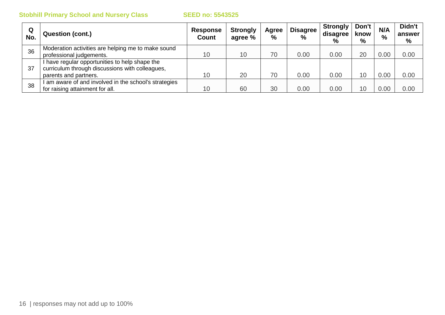| Q<br>No. | <b>Question (cont.)</b>                             | <b>Response</b><br><b>Count</b> | <b>Strongly</b><br>agree % | Agree<br>$\frac{0}{0}$ | <b>Disagree</b><br>% | <b>Strongly</b><br>disagree<br>% | Don't<br>know<br>% | N/A<br>$\frac{9}{6}$ | Didn't<br>answer<br>% |
|----------|-----------------------------------------------------|---------------------------------|----------------------------|------------------------|----------------------|----------------------------------|--------------------|----------------------|-----------------------|
| 36       | Moderation activities are helping me to make sound  |                                 |                            |                        |                      |                                  |                    |                      |                       |
|          | professional judgements.                            | 10                              | 10                         | 70                     | 0.00                 | 0.00                             | 20                 | 0.00                 | 0.00                  |
|          | have regular opportunities to help shape the        |                                 |                            |                        |                      |                                  |                    |                      |                       |
| 37       | curriculum through discussions with colleagues.     |                                 |                            |                        |                      |                                  |                    |                      |                       |
|          | parents and partners.                               | 10                              | 20                         | 70                     | 0.00                 | 0.00                             | 10                 | 0.00                 | 0.00                  |
| 38       | am aware of and involved in the school's strategies |                                 |                            |                        |                      |                                  |                    |                      |                       |
|          | for raising attainment for all.                     | 10                              | 60                         | 30                     | 0.00                 | 0.00                             | 10                 | 0.00                 | 0.00                  |